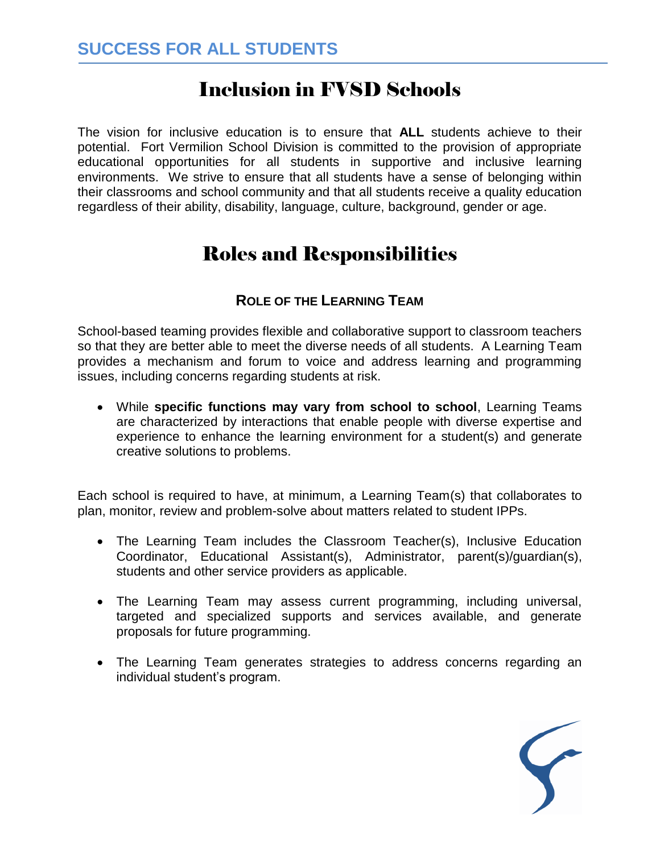# Inclusion in FVSD Schools

The vision for inclusive education is to ensure that **ALL** students achieve to their potential. Fort Vermilion School Division is committed to the provision of appropriate educational opportunities for all students in supportive and inclusive learning environments. We strive to ensure that all students have a sense of belonging within their classrooms and school community and that all students receive a quality education regardless of their ability, disability, language, culture, background, gender or age.

# Roles and Responsibilities

# **ROLE OF THE LEARNING TEAM**

School-based teaming provides flexible and collaborative support to classroom teachers so that they are better able to meet the diverse needs of all students. A Learning Team provides a mechanism and forum to voice and address learning and programming issues, including concerns regarding students at risk.

 While **specific functions may vary from school to school**, Learning Teams are characterized by interactions that enable people with diverse expertise and experience to enhance the learning environment for a student(s) and generate creative solutions to problems.

Each school is required to have, at minimum, a Learning Team(s) that collaborates to plan, monitor, review and problem-solve about matters related to student IPPs.

- The Learning Team includes the Classroom Teacher(s), Inclusive Education Coordinator, Educational Assistant(s), Administrator, parent(s)/guardian(s), students and other service providers as applicable.
- The Learning Team may assess current programming, including universal, targeted and specialized supports and services available, and generate proposals for future programming.
- The Learning Team generates strategies to address concerns regarding an individual student's program.

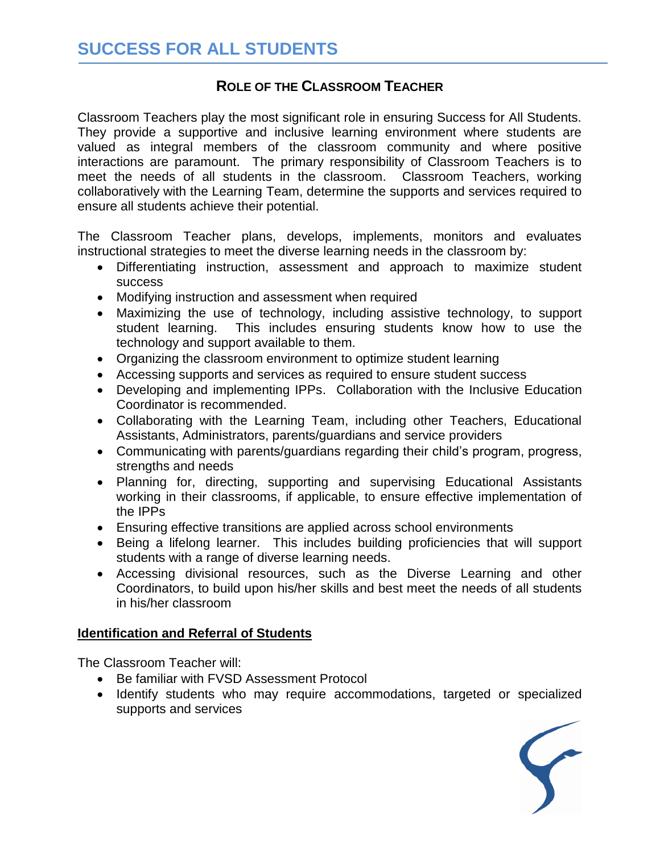# **ROLE OF THE CLASSROOM TEACHER**

Classroom Teachers play the most significant role in ensuring Success for All Students. They provide a supportive and inclusive learning environment where students are valued as integral members of the classroom community and where positive interactions are paramount. The primary responsibility of Classroom Teachers is to meet the needs of all students in the classroom. Classroom Teachers, working collaboratively with the Learning Team, determine the supports and services required to ensure all students achieve their potential.

The Classroom Teacher plans, develops, implements, monitors and evaluates instructional strategies to meet the diverse learning needs in the classroom by:

- Differentiating instruction, assessment and approach to maximize student success
- Modifying instruction and assessment when required
- Maximizing the use of technology, including assistive technology, to support student learning. This includes ensuring students know how to use the technology and support available to them.
- Organizing the classroom environment to optimize student learning
- Accessing supports and services as required to ensure student success
- Developing and implementing IPPs. Collaboration with the Inclusive Education Coordinator is recommended.
- Collaborating with the Learning Team, including other Teachers, Educational Assistants, Administrators, parents/guardians and service providers
- Communicating with parents/guardians regarding their child's program, progress, strengths and needs
- Planning for, directing, supporting and supervising Educational Assistants working in their classrooms, if applicable, to ensure effective implementation of the IPPs
- Ensuring effective transitions are applied across school environments
- Being a lifelong learner. This includes building proficiencies that will support students with a range of diverse learning needs.
- Accessing divisional resources, such as the Diverse Learning and other Coordinators, to build upon his/her skills and best meet the needs of all students in his/her classroom

#### **Identification and Referral of Students**

The Classroom Teacher will:

- Be familiar with FVSD Assessment Protocol
- Identify students who may require accommodations, targeted or specialized supports and services

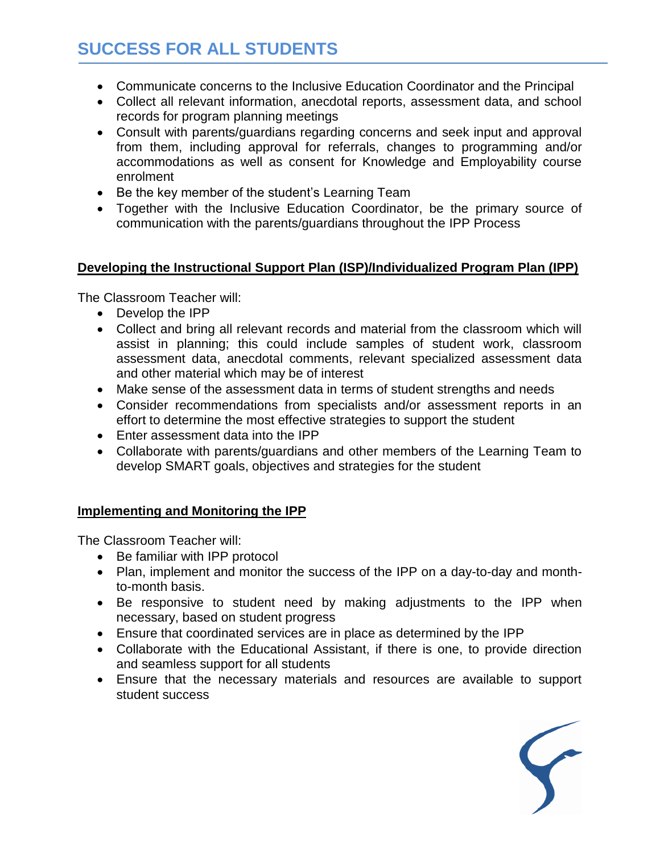- Communicate concerns to the Inclusive Education Coordinator and the Principal
- Collect all relevant information, anecdotal reports, assessment data, and school records for program planning meetings
- Consult with parents/guardians regarding concerns and seek input and approval from them, including approval for referrals, changes to programming and/or accommodations as well as consent for Knowledge and Employability course enrolment
- Be the key member of the student's Learning Team
- Together with the Inclusive Education Coordinator, be the primary source of communication with the parents/guardians throughout the IPP Process

#### **Developing the Instructional Support Plan (ISP)/Individualized Program Plan (IPP)**

The Classroom Teacher will:

- Develop the IPP
- Collect and bring all relevant records and material from the classroom which will assist in planning; this could include samples of student work, classroom assessment data, anecdotal comments, relevant specialized assessment data and other material which may be of interest
- Make sense of the assessment data in terms of student strengths and needs
- Consider recommendations from specialists and/or assessment reports in an effort to determine the most effective strategies to support the student
- Enter assessment data into the IPP
- Collaborate with parents/guardians and other members of the Learning Team to develop SMART goals, objectives and strategies for the student

### **Implementing and Monitoring the IPP**

The Classroom Teacher will:

- Be familiar with IPP protocol
- Plan, implement and monitor the success of the IPP on a day-to-day and monthto-month basis.
- Be responsive to student need by making adjustments to the IPP when necessary, based on student progress
- Ensure that coordinated services are in place as determined by the IPP
- Collaborate with the Educational Assistant, if there is one, to provide direction and seamless support for all students
- Ensure that the necessary materials and resources are available to support student success

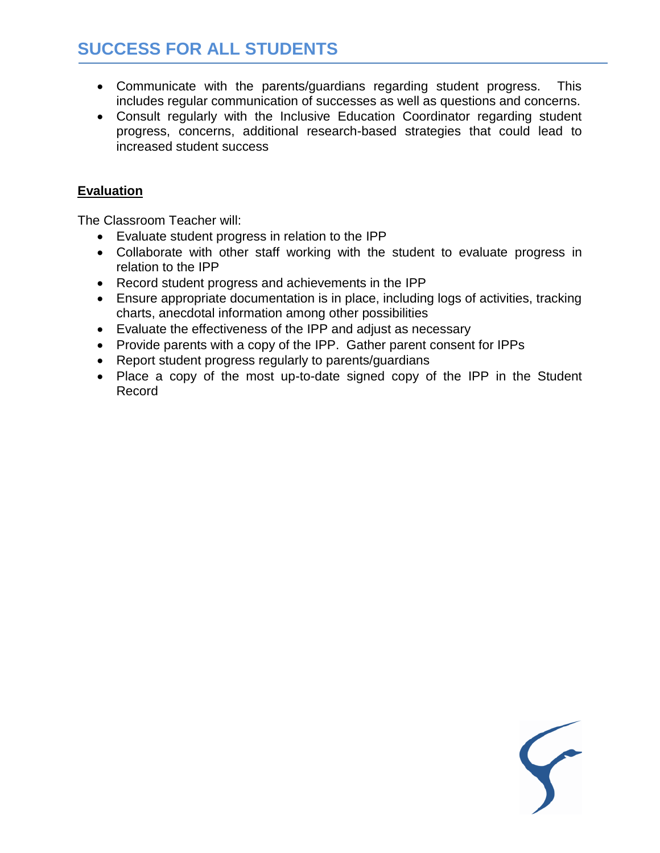- Communicate with the parents/guardians regarding student progress. This includes regular communication of successes as well as questions and concerns.
- Consult regularly with the Inclusive Education Coordinator regarding student progress, concerns, additional research-based strategies that could lead to increased student success

#### **Evaluation**

The Classroom Teacher will:

- Evaluate student progress in relation to the IPP
- Collaborate with other staff working with the student to evaluate progress in relation to the IPP
- Record student progress and achievements in the IPP
- Ensure appropriate documentation is in place, including logs of activities, tracking charts, anecdotal information among other possibilities
- Evaluate the effectiveness of the IPP and adjust as necessary
- Provide parents with a copy of the IPP. Gather parent consent for IPPs
- Report student progress regularly to parents/guardians
- Place a copy of the most up-to-date signed copy of the IPP in the Student Record

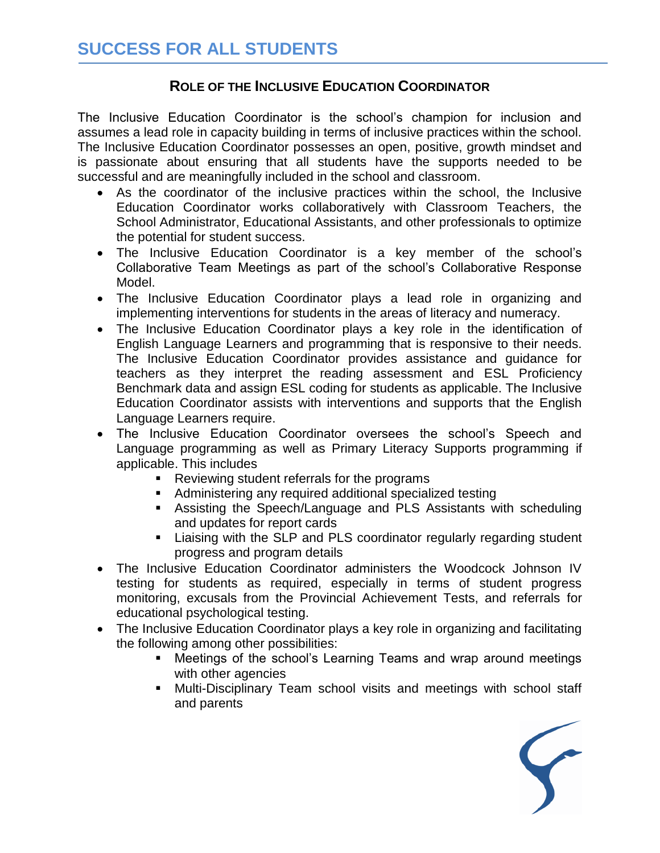## **ROLE OF THE INCLUSIVE EDUCATION COORDINATOR**

The Inclusive Education Coordinator is the school's champion for inclusion and assumes a lead role in capacity building in terms of inclusive practices within the school. The Inclusive Education Coordinator possesses an open, positive, growth mindset and is passionate about ensuring that all students have the supports needed to be successful and are meaningfully included in the school and classroom.

- As the coordinator of the inclusive practices within the school, the Inclusive Education Coordinator works collaboratively with Classroom Teachers, the School Administrator, Educational Assistants, and other professionals to optimize the potential for student success.
- The Inclusive Education Coordinator is a key member of the school's Collaborative Team Meetings as part of the school's Collaborative Response Model.
- The Inclusive Education Coordinator plays a lead role in organizing and implementing interventions for students in the areas of literacy and numeracy.
- The Inclusive Education Coordinator plays a key role in the identification of English Language Learners and programming that is responsive to their needs. The Inclusive Education Coordinator provides assistance and guidance for teachers as they interpret the reading assessment and ESL Proficiency Benchmark data and assign ESL coding for students as applicable. The Inclusive Education Coordinator assists with interventions and supports that the English Language Learners require.
- The Inclusive Education Coordinator oversees the school's Speech and Language programming as well as Primary Literacy Supports programming if applicable. This includes
	- **Reviewing student referrals for the programs**
	- Administering any required additional specialized testing
	- Assisting the Speech/Language and PLS Assistants with scheduling and updates for report cards
	- **EXTER** Liaising with the SLP and PLS coordinator regularly regarding student progress and program details
- The Inclusive Education Coordinator administers the Woodcock Johnson IV testing for students as required, especially in terms of student progress monitoring, excusals from the Provincial Achievement Tests, and referrals for educational psychological testing.
- The Inclusive Education Coordinator plays a key role in organizing and facilitating the following among other possibilities:
	- Meetings of the school's Learning Teams and wrap around meetings with other agencies
	- Multi-Disciplinary Team school visits and meetings with school staff and parents

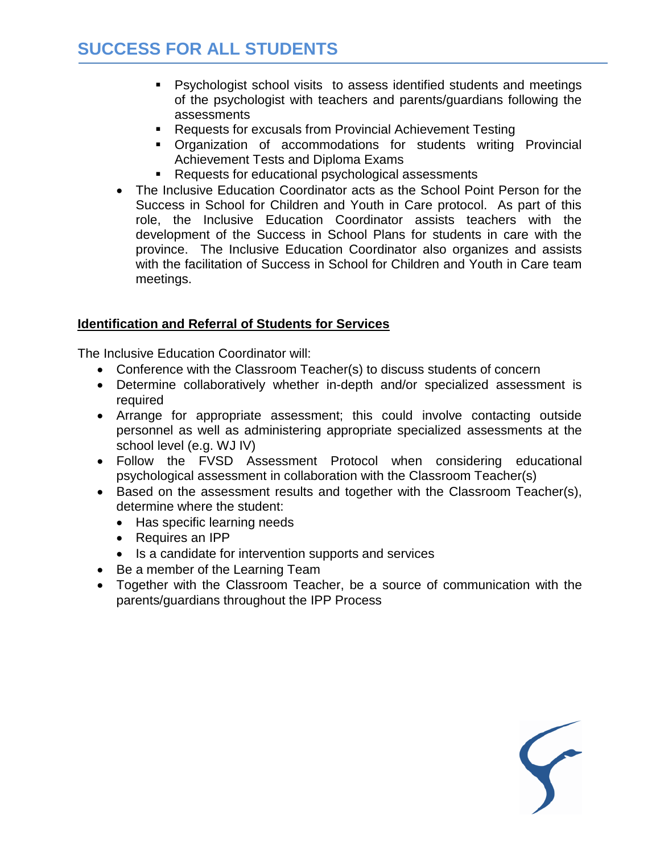- Psychologist school visits to assess identified students and meetings of the psychologist with teachers and parents/guardians following the assessments
- Requests for excusals from Provincial Achievement Testing
- Organization of accommodations for students writing Provincial Achievement Tests and Diploma Exams
- Requests for educational psychological assessments
- The Inclusive Education Coordinator acts as the School Point Person for the Success in School for Children and Youth in Care protocol. As part of this role, the Inclusive Education Coordinator assists teachers with the development of the Success in School Plans for students in care with the province. The Inclusive Education Coordinator also organizes and assists with the facilitation of Success in School for Children and Youth in Care team meetings.

#### **Identification and Referral of Students for Services**

The Inclusive Education Coordinator will:

- Conference with the Classroom Teacher(s) to discuss students of concern
- Determine collaboratively whether in-depth and/or specialized assessment is required
- Arrange for appropriate assessment; this could involve contacting outside personnel as well as administering appropriate specialized assessments at the school level (e.g. WJ IV)
- Follow the FVSD Assessment Protocol when considering educational psychological assessment in collaboration with the Classroom Teacher(s)
- Based on the assessment results and together with the Classroom Teacher(s), determine where the student:
	- Has specific learning needs
	- Requires an IPP
	- Is a candidate for intervention supports and services
- Be a member of the Learning Team
- Together with the Classroom Teacher, be a source of communication with the parents/guardians throughout the IPP Process

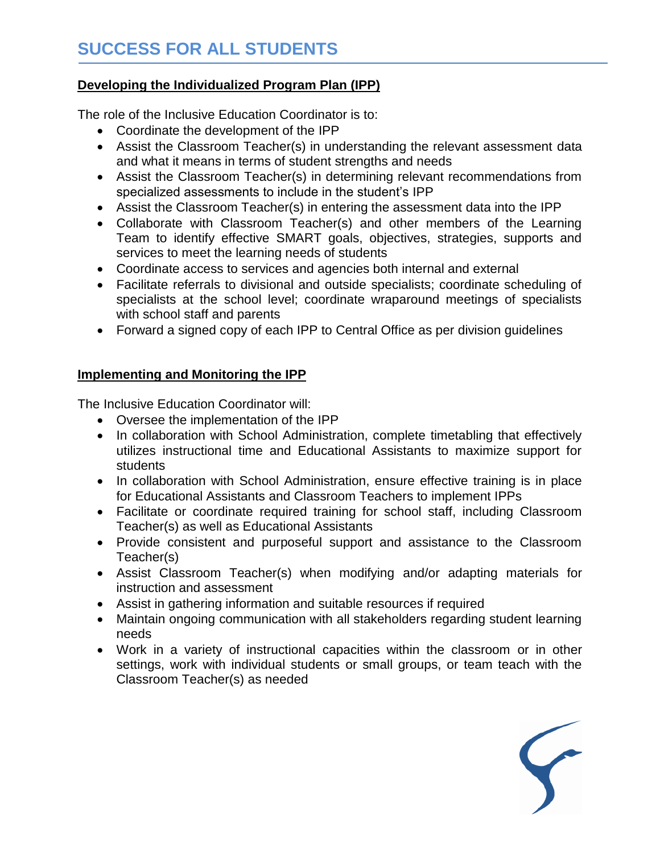#### **Developing the Individualized Program Plan (IPP)**

The role of the Inclusive Education Coordinator is to:

- Coordinate the development of the IPP
- Assist the Classroom Teacher(s) in understanding the relevant assessment data and what it means in terms of student strengths and needs
- Assist the Classroom Teacher(s) in determining relevant recommendations from specialized assessments to include in the student's IPP
- Assist the Classroom Teacher(s) in entering the assessment data into the IPP
- Collaborate with Classroom Teacher(s) and other members of the Learning Team to identify effective SMART goals, objectives, strategies, supports and services to meet the learning needs of students
- Coordinate access to services and agencies both internal and external
- Facilitate referrals to divisional and outside specialists; coordinate scheduling of specialists at the school level; coordinate wraparound meetings of specialists with school staff and parents
- Forward a signed copy of each IPP to Central Office as per division guidelines

#### **Implementing and Monitoring the IPP**

The Inclusive Education Coordinator will:

- Oversee the implementation of the IPP
- In collaboration with School Administration, complete timetabling that effectively utilizes instructional time and Educational Assistants to maximize support for students
- In collaboration with School Administration, ensure effective training is in place for Educational Assistants and Classroom Teachers to implement IPPs
- Facilitate or coordinate required training for school staff, including Classroom Teacher(s) as well as Educational Assistants
- Provide consistent and purposeful support and assistance to the Classroom Teacher(s)
- Assist Classroom Teacher(s) when modifying and/or adapting materials for instruction and assessment
- Assist in gathering information and suitable resources if required
- Maintain ongoing communication with all stakeholders regarding student learning needs
- Work in a variety of instructional capacities within the classroom or in other settings, work with individual students or small groups, or team teach with the Classroom Teacher(s) as needed

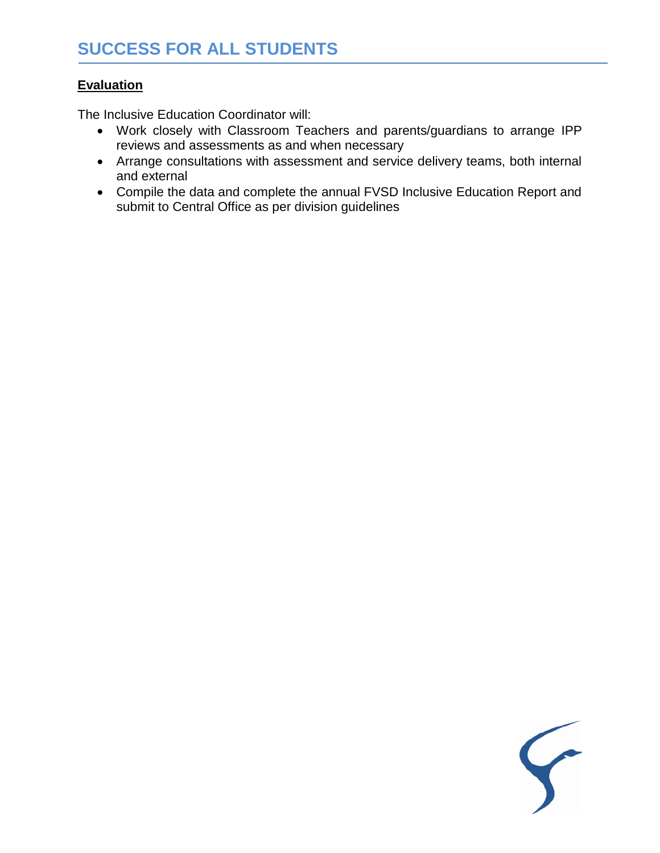## **Evaluation**

The Inclusive Education Coordinator will:

- Work closely with Classroom Teachers and parents/guardians to arrange IPP reviews and assessments as and when necessary
- Arrange consultations with assessment and service delivery teams, both internal and external
- Compile the data and complete the annual FVSD Inclusive Education Report and submit to Central Office as per division guidelines

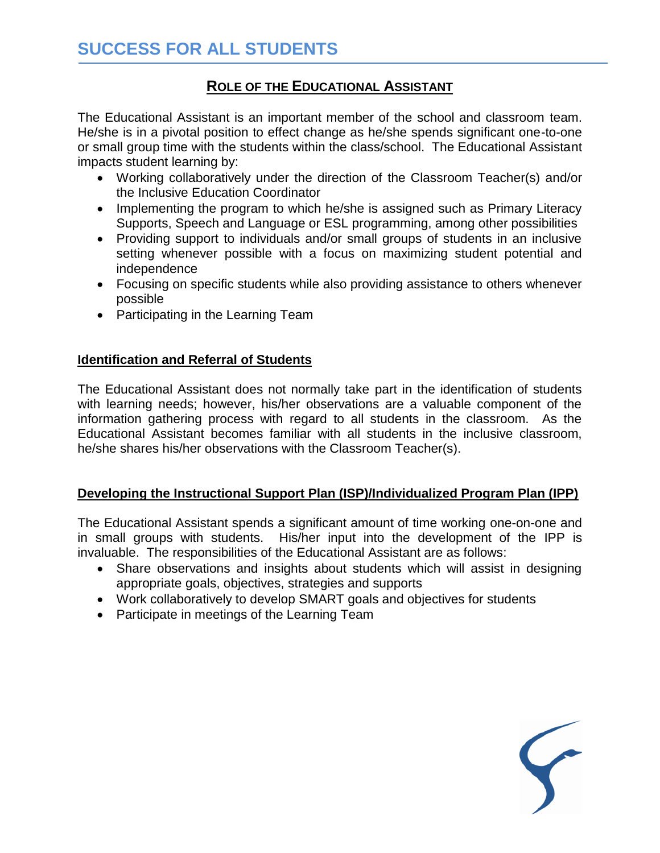# **ROLE OF THE EDUCATIONAL ASSISTANT**

The Educational Assistant is an important member of the school and classroom team. He/she is in a pivotal position to effect change as he/she spends significant one-to-one or small group time with the students within the class/school. The Educational Assistant impacts student learning by:

- Working collaboratively under the direction of the Classroom Teacher(s) and/or the Inclusive Education Coordinator
- Implementing the program to which he/she is assigned such as Primary Literacy Supports, Speech and Language or ESL programming, among other possibilities
- Providing support to individuals and/or small groups of students in an inclusive setting whenever possible with a focus on maximizing student potential and independence
- Focusing on specific students while also providing assistance to others whenever possible
- Participating in the Learning Team

## **Identification and Referral of Students**

The Educational Assistant does not normally take part in the identification of students with learning needs; however, his/her observations are a valuable component of the information gathering process with regard to all students in the classroom. As the Educational Assistant becomes familiar with all students in the inclusive classroom, he/she shares his/her observations with the Classroom Teacher(s).

### **Developing the Instructional Support Plan (ISP)/Individualized Program Plan (IPP)**

The Educational Assistant spends a significant amount of time working one-on-one and in small groups with students. His/her input into the development of the IPP is invaluable. The responsibilities of the Educational Assistant are as follows:

- Share observations and insights about students which will assist in designing appropriate goals, objectives, strategies and supports
- Work collaboratively to develop SMART goals and objectives for students
- Participate in meetings of the Learning Team

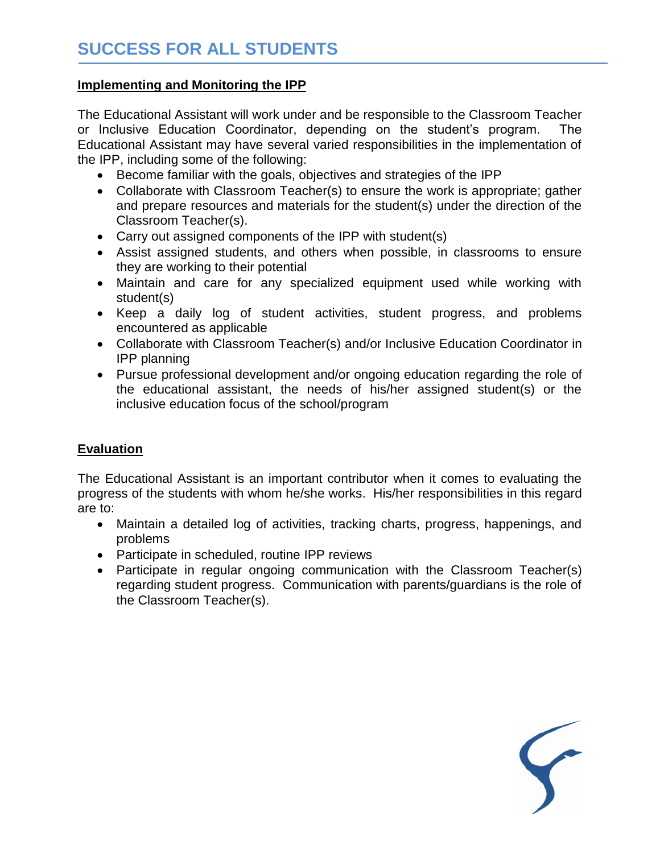#### **Implementing and Monitoring the IPP**

The Educational Assistant will work under and be responsible to the Classroom Teacher or Inclusive Education Coordinator, depending on the student's program. The Educational Assistant may have several varied responsibilities in the implementation of the IPP, including some of the following:

- Become familiar with the goals, objectives and strategies of the IPP
- Collaborate with Classroom Teacher(s) to ensure the work is appropriate; gather and prepare resources and materials for the student(s) under the direction of the Classroom Teacher(s).
- Carry out assigned components of the IPP with student(s)
- Assist assigned students, and others when possible, in classrooms to ensure they are working to their potential
- Maintain and care for any specialized equipment used while working with student(s)
- Keep a daily log of student activities, student progress, and problems encountered as applicable
- Collaborate with Classroom Teacher(s) and/or Inclusive Education Coordinator in IPP planning
- Pursue professional development and/or ongoing education regarding the role of the educational assistant, the needs of his/her assigned student(s) or the inclusive education focus of the school/program

### **Evaluation**

The Educational Assistant is an important contributor when it comes to evaluating the progress of the students with whom he/she works. His/her responsibilities in this regard are to:

- Maintain a detailed log of activities, tracking charts, progress, happenings, and problems
- Participate in scheduled, routine IPP reviews
- Participate in regular ongoing communication with the Classroom Teacher(s) regarding student progress. Communication with parents/guardians is the role of the Classroom Teacher(s).

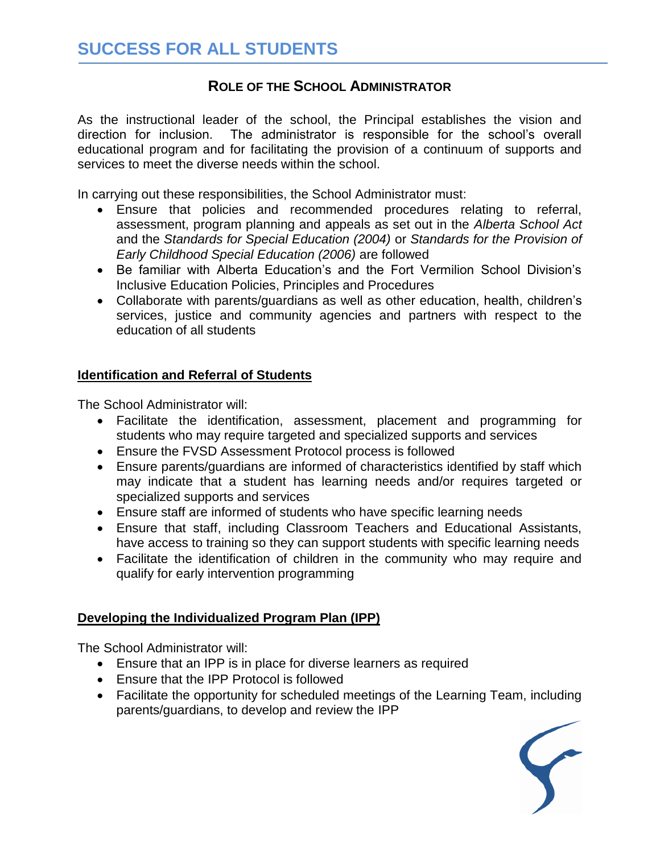## **ROLE OF THE SCHOOL ADMINISTRATOR**

As the instructional leader of the school, the Principal establishes the vision and direction for inclusion. The administrator is responsible for the school's overall educational program and for facilitating the provision of a continuum of supports and services to meet the diverse needs within the school.

In carrying out these responsibilities, the School Administrator must:

- Ensure that policies and recommended procedures relating to referral, assessment, program planning and appeals as set out in the *Alberta School Act* and the *Standards for Special Education (2004)* or *Standards for the Provision of Early Childhood Special Education (2006)* are followed
- Be familiar with Alberta Education's and the Fort Vermilion School Division's Inclusive Education Policies, Principles and Procedures
- Collaborate with parents/guardians as well as other education, health, children's services, justice and community agencies and partners with respect to the education of all students

#### **Identification and Referral of Students**

The School Administrator will:

- Facilitate the identification, assessment, placement and programming for students who may require targeted and specialized supports and services
- Ensure the FVSD Assessment Protocol process is followed
- Ensure parents/guardians are informed of characteristics identified by staff which may indicate that a student has learning needs and/or requires targeted or specialized supports and services
- Ensure staff are informed of students who have specific learning needs
- Ensure that staff, including Classroom Teachers and Educational Assistants, have access to training so they can support students with specific learning needs
- Facilitate the identification of children in the community who may require and qualify for early intervention programming

### **Developing the Individualized Program Plan (IPP)**

The School Administrator will:

- Ensure that an IPP is in place for diverse learners as required
- Ensure that the IPP Protocol is followed
- Facilitate the opportunity for scheduled meetings of the Learning Team, including parents/guardians, to develop and review the IPP